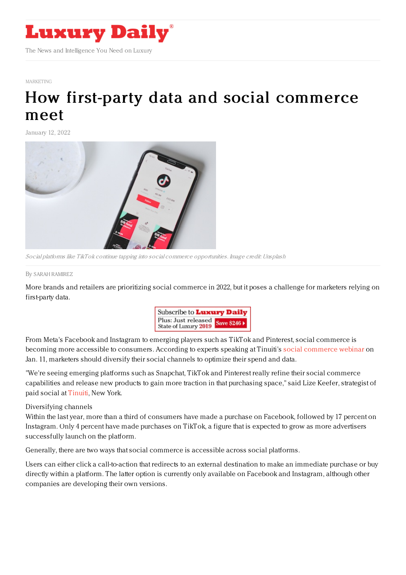

#### [MARKETING](https://www.luxurydaily.com/category/sectors/marketing-industry-sectors/)

# How first-party data and social [commerce](https://www.luxurydaily.com/first-party-data-social-commerce/) meet

January 12, 2022



Social platforms like TikTok continue tapping into social commerce opportunities. Image credit: Unsplash

#### By SARAH [RAMIREZ](file:///author/sarah-ramirez)

More brands and retailers are prioritizing social commerce in 2022, but it poses a challenge for marketers relying on first-party data.



From Meta's Facebook and Instagram to emerging players such as TikTok and Pinterest, social commerce is becoming more accessible to consumers. According to experts speaking at Tinuiti's social [commerce](https://tinuiti.com/content/webinars/social-commerce-from-facebook-to-tiktok/) webinar on Jan. 11, marketers should diversify their social channels to optimize their spend and data.

"We're seeing emerging platforms such as Snapchat, TikTok and Pinterest really refine their social commerce capabilities and release new products to gain more traction in that purchasing space," said Lize Keefer, strategist of paid social at [Tinuiti](https://tinuiti.com/), New York.

### Diversifying channels

Within the last year, more than a third of consumers have made a purchase on Facebook, followed by 17 percent on Instagram. Only 4 percent have made purchases on TikTok, a figure that is expected to grow as more advertisers successfully launch on the platform.

Generally, there are two ways that social commerce is accessible across social platforms.

Users can either click a call-to-action that redirects to an external destination to make an immediate purchase or buy directly within a platform. The latter option is currently only available on Facebook and Instagram, although other companies are developing their own versions.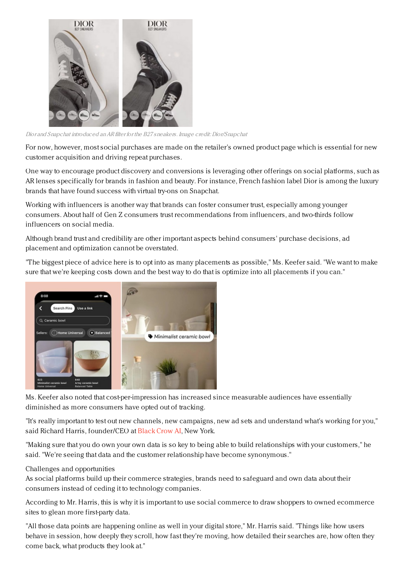

Dior and Snapchat introduced anAR filter for the B27 sneakers. Image credit: Dior/Snapchat

For now, however, most social purchases are made on the retailer's owned product page which is essential for new customer acquisition and driving repeat purchases.

One way to encourage product discovery and conversions is leveraging other offerings on social platforms, such as AR lenses specifically for brands in fashion and beauty. For instance, French fashion label Dior is among the luxury brands that have found success with virtual try-ons on Snapchat.

Working with influencers is another way that brands can foster consumer trust, especially among younger consumers. About half of Gen Z consumers trust recommendations from influencers, and two-thirds follow influencers on social media.

Although brand trust and credibility are other important aspects behind consumers' purchase decisions, ad placement and optimization cannot be overstated.

"The biggest piece of advice here is to opt into as many placements as possible," Ms. Keefer said. "We want to make sure that we're keeping costs down and the best way to do that is optimize into all placements if you can."



Ms. Keefer also noted that cost-per-impression has increased since measurable audiences have essentially diminished as more consumers have opted out of tracking.

"It's really important to test out new channels, new campaigns, new ad sets and understand what's working for you," said Richard Harris, founder/CEO at [Black](https://www.blackcrow.ai/) Crow AI, New York.

"Making sure that you do own your own data is so key to being able to build relationships with your customers," he said. "We're seeing that data and the customer relationship have become synonymous."

## Challenges and opportunities

As social platforms build up their commerce strategies, brands need to safeguard and own data about their consumers instead of ceding it to technology companies.

According to Mr. Harris, this is why it is important to use social commerce to draw shoppers to owned ecommerce sites to glean more first-party data.

"All those data points are happening online as well in your digital store," Mr. Harris said. "Things like how users behave in session, how deeply they scroll, how fast they're moving, how detailed their searches are, how often they come back, what products they look at."